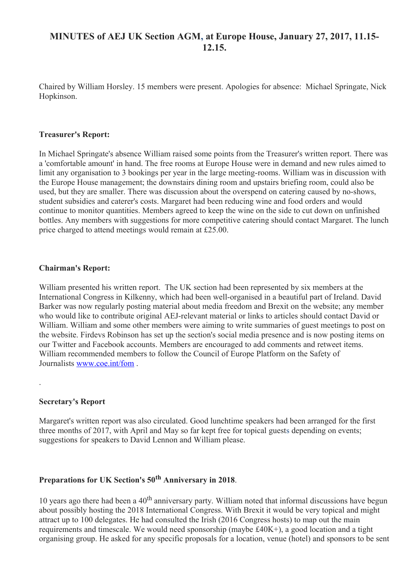## **MINUTES of AEJ UK Section AGM, at Europe House, January 27, 2017, 11.15- 12.15.**

Chaired by William Horsley. 15 members were present. Apologies for absence: Michael Springate, Nick Hopkinson.

#### **Treasurer's Report:**

In Michael Springate's absence William raised some points from the Treasurer's written report. There was a 'comfortable amount' in hand. The free rooms at Europe House were in demand and new rules aimed to limit any organisation to 3 bookings per year in the large meeting-rooms. William was in discussion with the Europe House management; the downstairs dining room and upstairs briefing room, could also be used, but they are smaller. There was discussion about the overspend on catering caused by no-shows, student subsidies and caterer's costs. Margaret had been reducing wine and food orders and would continue to monitor quantities. Members agreed to keep the wine on the side to cut down on unfinished bottles. Any members with suggestions for more competitive catering should contact Margaret. The lunch price charged to attend meetings would remain at £25.00.

## **Chairman's Report:**

William presented his written report. The UK section had been represented by six members at the International Congress in Kilkenny, which had been well-organised in a beautiful part of Ireland. David Barker was now regularly posting material about media freedom and Brexit on the website; any member who would like to contribute original AEJ-relevant material or links to articles should contact David or William. William and some other members were aiming to write summaries of guest meetings to post on the website. Firdevs Robinson has set up the section's social media presence and is now posting items on our Twitter and Facebook accounts. Members are encouraged to add comments and retweet items. William recommended members to follow the Council of Europe Platform on the Safety of Journalists [www.coe.int/fom](http://www.coe.int/fom) .

#### **Secretary's Report**

.

Margaret's written report was also circulated. Good lunchtime speakers had been arranged for the first three months of 2017, with April and May so far kept free for topical guests depending on events; suggestions for speakers to David Lennon and William please.

# **Preparations for UK Section's 50th Anniversary in 2018**.

10 years ago there had been a  $40<sup>th</sup>$  anniversary party. William noted that informal discussions have begun about possibly hosting the 2018 International Congress. With Brexit it would be very topical and might attract up to 100 delegates. He had consulted the Irish (2016 Congress hosts) to map out the main requirements and timescale. We would need sponsorship (maybe £40K+), a good location and a tight organising group. He asked for any specific proposals for a location, venue (hotel) and sponsors to be sent